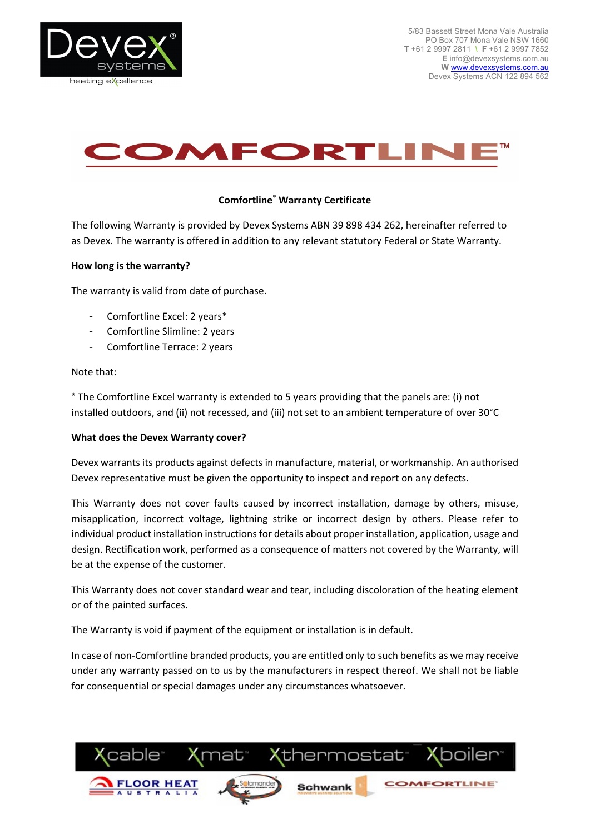



# **Comfortline® Warranty Certificate**

The following Warranty is provided by Devex Systems ABN 39 898 434 262, hereinafter referred to as Devex. The warranty is offered in addition to any relevant statutory Federal or State Warranty.

#### **How long is the warranty?**

The warranty is valid from date of purchase.

- Comfortline Excel: 2 years\*
- Comfortline Slimline: 2 years
- Comfortline Terrace: 2 years

#### Note that:

\* The Comfortline Excel warranty is extended to 5 years providing that the panels are: (i) not installed outdoors, and (ii) not recessed, and (iii) not set to an ambient temperature of over 30°C

## **What does the Devex Warranty cover?**

Devex warrants its products against defects in manufacture, material, or workmanship. An authorised Devex representative must be given the opportunity to inspect and report on any defects.

This Warranty does not cover faults caused by incorrect installation, damage by others, misuse, misapplication, incorrect voltage, lightning strike or incorrect design by others. Please refer to individual product installation instructions for details about proper installation, application, usage and design. Rectification work, performed as a consequence of matters not covered by the Warranty, will be at the expense of the customer.

This Warranty does not cover standard wear and tear, including discoloration of the heating element or of the painted surfaces.

The Warranty is void if payment of the equipment or installation is in default.

In case of non-Comfortline branded products, you are entitled only to such benefits as we may receive under any warranty passed on to us by the manufacturers in respect thereof. We shall not be liable for consequential or special damages under any circumstances whatsoever.